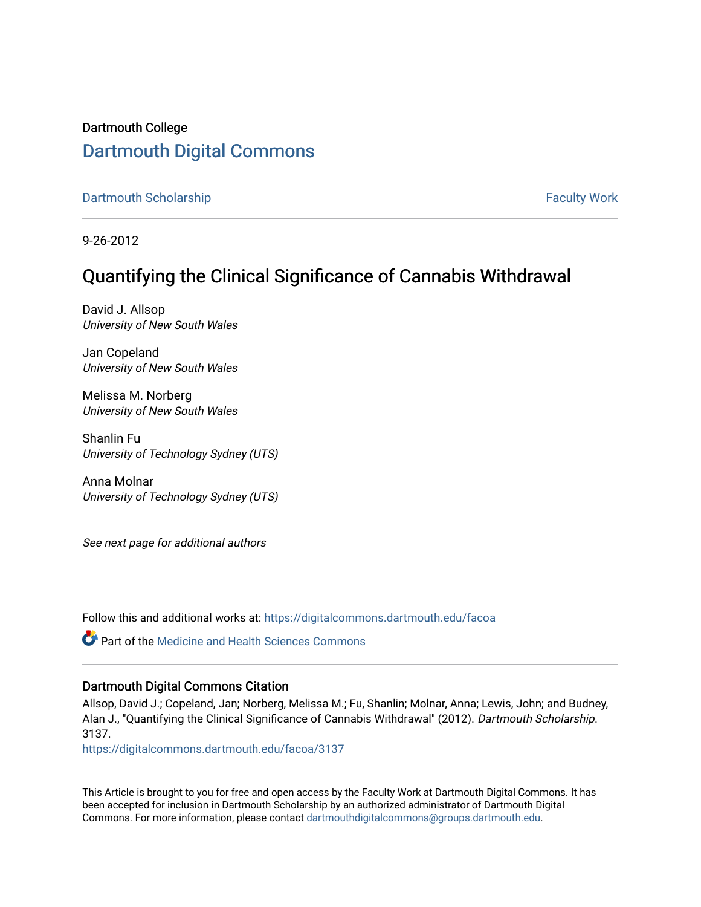Dartmouth College [Dartmouth Digital Commons](https://digitalcommons.dartmouth.edu/) 

[Dartmouth Scholarship](https://digitalcommons.dartmouth.edu/facoa) [Faculty Work](https://digitalcommons.dartmouth.edu/faculty) and The Basic Scholarship Faculty Work Faculty Work

9-26-2012

## Quantifying the Clinical Significance of Cannabis Withdrawal

David J. Allsop University of New South Wales

Jan Copeland University of New South Wales

Melissa M. Norberg University of New South Wales

Shanlin Fu University of Technology Sydney (UTS)

Anna Molnar University of Technology Sydney (UTS)

See next page for additional authors

Follow this and additional works at: [https://digitalcommons.dartmouth.edu/facoa](https://digitalcommons.dartmouth.edu/facoa?utm_source=digitalcommons.dartmouth.edu%2Ffacoa%2F3137&utm_medium=PDF&utm_campaign=PDFCoverPages)

**C** Part of the Medicine and Health Sciences Commons

## Dartmouth Digital Commons Citation

Allsop, David J.; Copeland, Jan; Norberg, Melissa M.; Fu, Shanlin; Molnar, Anna; Lewis, John; and Budney, Alan J., "Quantifying the Clinical Significance of Cannabis Withdrawal" (2012). Dartmouth Scholarship. 3137.

[https://digitalcommons.dartmouth.edu/facoa/3137](https://digitalcommons.dartmouth.edu/facoa/3137?utm_source=digitalcommons.dartmouth.edu%2Ffacoa%2F3137&utm_medium=PDF&utm_campaign=PDFCoverPages) 

This Article is brought to you for free and open access by the Faculty Work at Dartmouth Digital Commons. It has been accepted for inclusion in Dartmouth Scholarship by an authorized administrator of Dartmouth Digital Commons. For more information, please contact [dartmouthdigitalcommons@groups.dartmouth.edu](mailto:dartmouthdigitalcommons@groups.dartmouth.edu).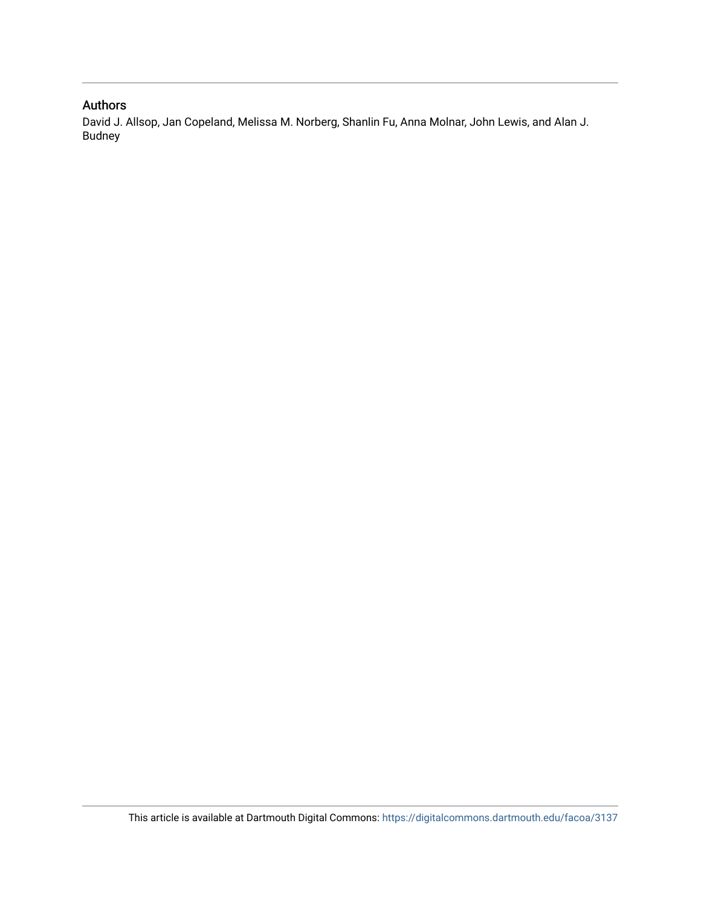## Authors

David J. Allsop, Jan Copeland, Melissa M. Norberg, Shanlin Fu, Anna Molnar, John Lewis, and Alan J. Budney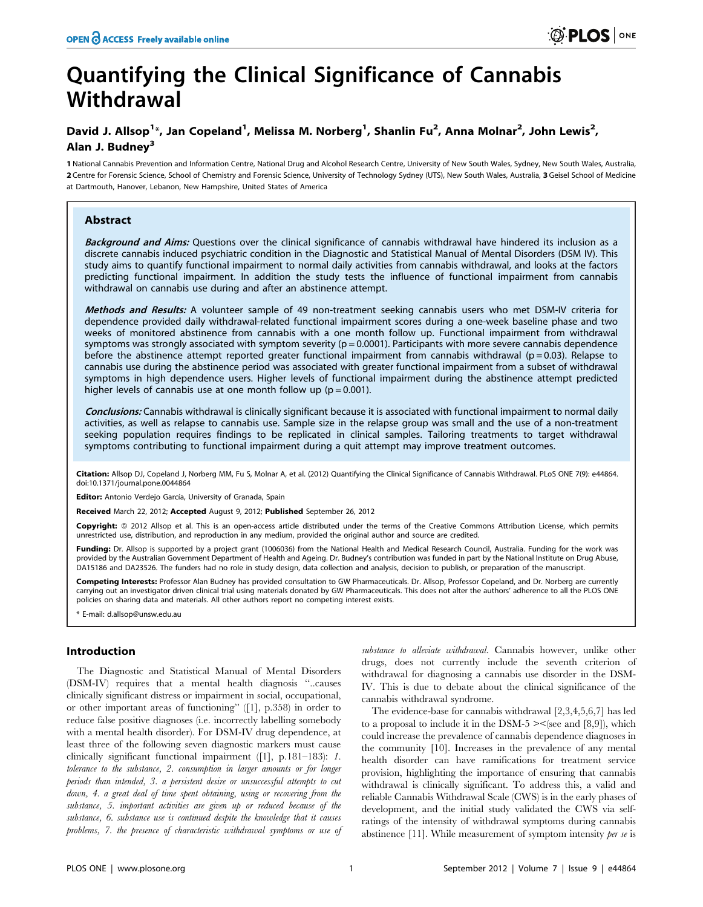# Quantifying the Clinical Significance of Cannabis **Withdrawal**

## David J. Allsop<sup>1</sup>\*, Jan Copeland<sup>1</sup>, Melissa M. Norberg<sup>1</sup>, Shanlin Fu<sup>2</sup>, Anna Molnar<sup>2</sup>, John Lewis<sup>2</sup>, Alan J. Budney<sup>3</sup>

1 National Cannabis Prevention and Information Centre, National Drug and Alcohol Research Centre, University of New South Wales, Sydney, New South Wales, Australia, 2 Centre for Forensic Science, School of Chemistry and Forensic Science, University of Technology Sydney (UTS), New South Wales, Australia, 3 Geisel School of Medicine at Dartmouth, Hanover, Lebanon, New Hampshire, United States of America

## Abstract

Background and Aims: Questions over the clinical significance of cannabis withdrawal have hindered its inclusion as a discrete cannabis induced psychiatric condition in the Diagnostic and Statistical Manual of Mental Disorders (DSM IV). This study aims to quantify functional impairment to normal daily activities from cannabis withdrawal, and looks at the factors predicting functional impairment. In addition the study tests the influence of functional impairment from cannabis withdrawal on cannabis use during and after an abstinence attempt.

Methods and Results: A volunteer sample of 49 non-treatment seeking cannabis users who met DSM-IV criteria for dependence provided daily withdrawal-related functional impairment scores during a one-week baseline phase and two weeks of monitored abstinence from cannabis with a one month follow up. Functional impairment from withdrawal symptoms was strongly associated with symptom severity ( $p = 0.0001$ ). Participants with more severe cannabis dependence before the abstinence attempt reported greater functional impairment from cannabis withdrawal ( $p = 0.03$ ). Relapse to cannabis use during the abstinence period was associated with greater functional impairment from a subset of withdrawal symptoms in high dependence users. Higher levels of functional impairment during the abstinence attempt predicted higher levels of cannabis use at one month follow up ( $p = 0.001$ ).

Conclusions: Cannabis withdrawal is clinically significant because it is associated with functional impairment to normal daily activities, as well as relapse to cannabis use. Sample size in the relapse group was small and the use of a non-treatment seeking population requires findings to be replicated in clinical samples. Tailoring treatments to target withdrawal symptoms contributing to functional impairment during a quit attempt may improve treatment outcomes.

Citation: Allsop DJ, Copeland J, Norberg MM, Fu S, Molnar A, et al. (2012) Quantifying the Clinical Significance of Cannabis Withdrawal. PLoS ONE 7(9): e44864. doi:10.1371/journal.pone.0044864

Editor: Antonio Verdejo García, University of Granada, Spain

Received March 22, 2012; Accepted August 9, 2012; Published September 26, 2012

Copyright: © 2012 Allsop et al. This is an open-access article distributed under the terms of the Creative Commons Attribution License, which permits unrestricted use, distribution, and reproduction in any medium, provided the original author and source are credited.

Funding: Dr. Allsop is supported by a project grant (1006036) from the National Health and Medical Research Council, Australia. Funding for the work was provided by the Australian Government Department of Health and Ageing. Dr. Budney's contribution was funded in part by the National Institute on Drug Abuse, DA15186 and DA23526. The funders had no role in study design, data collection and analysis, decision to publish, or preparation of the manuscript.

Competing Interests: Professor Alan Budney has provided consultation to GW Pharmaceuticals. Dr. Allsop, Professor Copeland, and Dr. Norberg are currently carrying out an investigator driven clinical trial using materials donated by GW Pharmaceuticals. This does not alter the authors' adherence to all the PLOS ONE policies on sharing data and materials. All other authors report no competing interest exists.

E-mail: d.allsop@unsw.edu.au

## Introduction

The Diagnostic and Statistical Manual of Mental Disorders (DSM-IV) requires that a mental health diagnosis ''..causes clinically significant distress or impairment in social, occupational, or other important areas of functioning'' ([1], p.358) in order to reduce false positive diagnoses (i.e. incorrectly labelling somebody with a mental health disorder). For DSM-IV drug dependence, at least three of the following seven diagnostic markers must cause clinically significant functional impairment ([1], p.181–183): 1. tolerance to the substance, 2. consumption in larger amounts or for longer periods than intended, 3. a persistent desire or unsuccessful attempts to cut down, 4. a great deal of time spent obtaining, using or recovering from the substance, 5. important activities are given up or reduced because of the substance, 6. substance use is continued despite the knowledge that it causes problems, 7. the presence of characteristic withdrawal symptoms or use of

substance to alleviate withdrawal. Cannabis however, unlike other drugs, does not currently include the seventh criterion of withdrawal for diagnosing a cannabis use disorder in the DSM-IV. This is due to debate about the clinical significance of the cannabis withdrawal syndrome.

The evidence-base for cannabis withdrawal [2,3,4,5,6,7] has led to a proposal to include it in the  $DSM-5 \geq$  (see and [8,9]), which could increase the prevalence of cannabis dependence diagnoses in the community [10]. Increases in the prevalence of any mental health disorder can have ramifications for treatment service provision, highlighting the importance of ensuring that cannabis withdrawal is clinically significant. To address this, a valid and reliable Cannabis Withdrawal Scale (CWS) is in the early phases of development, and the initial study validated the CWS via selfratings of the intensity of withdrawal symptoms during cannabis abstinence [11]. While measurement of symptom intensity per se is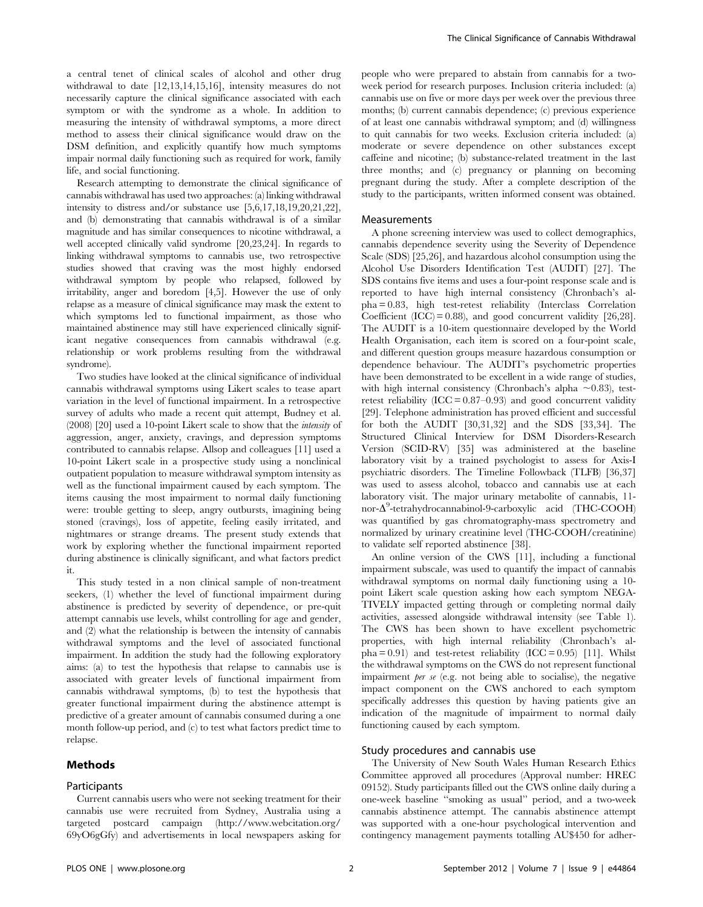a central tenet of clinical scales of alcohol and other drug withdrawal to date [12,13,14,15,16], intensity measures do not necessarily capture the clinical significance associated with each symptom or with the syndrome as a whole. In addition to measuring the intensity of withdrawal symptoms, a more direct method to assess their clinical significance would draw on the DSM definition, and explicitly quantify how much symptoms impair normal daily functioning such as required for work, family life, and social functioning.

Research attempting to demonstrate the clinical significance of cannabis withdrawal has used two approaches: (a) linking withdrawal intensity to distress and/or substance use [5,6,17,18,19,20,21,22], and (b) demonstrating that cannabis withdrawal is of a similar magnitude and has similar consequences to nicotine withdrawal, a well accepted clinically valid syndrome [20,23,24]. In regards to linking withdrawal symptoms to cannabis use, two retrospective studies showed that craving was the most highly endorsed withdrawal symptom by people who relapsed, followed by irritability, anger and boredom [4,5]. However the use of only relapse as a measure of clinical significance may mask the extent to which symptoms led to functional impairment, as those who maintained abstinence may still have experienced clinically significant negative consequences from cannabis withdrawal (e.g. relationship or work problems resulting from the withdrawal syndrome).

Two studies have looked at the clinical significance of individual cannabis withdrawal symptoms using Likert scales to tease apart variation in the level of functional impairment. In a retrospective survey of adults who made a recent quit attempt, Budney et al. (2008) [20] used a 10-point Likert scale to show that the intensity of aggression, anger, anxiety, cravings, and depression symptoms contributed to cannabis relapse. Allsop and colleagues [11] used a 10-point Likert scale in a prospective study using a nonclinical outpatient population to measure withdrawal symptom intensity as well as the functional impairment caused by each symptom. The items causing the most impairment to normal daily functioning were: trouble getting to sleep, angry outbursts, imagining being stoned (cravings), loss of appetite, feeling easily irritated, and nightmares or strange dreams. The present study extends that work by exploring whether the functional impairment reported during abstinence is clinically significant, and what factors predict it.

This study tested in a non clinical sample of non-treatment seekers, (1) whether the level of functional impairment during abstinence is predicted by severity of dependence, or pre-quit attempt cannabis use levels, whilst controlling for age and gender, and (2) what the relationship is between the intensity of cannabis withdrawal symptoms and the level of associated functional impairment. In addition the study had the following exploratory aims: (a) to test the hypothesis that relapse to cannabis use is associated with greater levels of functional impairment from cannabis withdrawal symptoms, (b) to test the hypothesis that greater functional impairment during the abstinence attempt is predictive of a greater amount of cannabis consumed during a one month follow-up period, and (c) to test what factors predict time to relapse.

## Methods

## **Participants**

Current cannabis users who were not seeking treatment for their cannabis use were recruited from Sydney, Australia using a targeted postcard campaign (http://www.webcitation.org/ 69yO6gGfy) and advertisements in local newspapers asking for people who were prepared to abstain from cannabis for a twoweek period for research purposes. Inclusion criteria included: (a) cannabis use on five or more days per week over the previous three months; (b) current cannabis dependence; (c) previous experience of at least one cannabis withdrawal symptom; and (d) willingness to quit cannabis for two weeks. Exclusion criteria included: (a) moderate or severe dependence on other substances except caffeine and nicotine; (b) substance-related treatment in the last three months; and (c) pregnancy or planning on becoming pregnant during the study. After a complete description of the study to the participants, written informed consent was obtained.

#### Measurements

A phone screening interview was used to collect demographics, cannabis dependence severity using the Severity of Dependence Scale (SDS) [25,26], and hazardous alcohol consumption using the Alcohol Use Disorders Identification Test (AUDIT) [27]. The SDS contains five items and uses a four-point response scale and is reported to have high internal consistency (Chronbach's alpha = 0.83, high test-retest reliability (Interclass Correlation Coefficient (ICC) = 0.88), and good concurrent validity [26,28]. The AUDIT is a 10-item questionnaire developed by the World Health Organisation, each item is scored on a four-point scale, and different question groups measure hazardous consumption or dependence behaviour. The AUDIT's psychometric properties have been demonstrated to be excellent in a wide range of studies, with high internal consistency (Chronbach's alpha  $\sim$ 0.83), testretest reliability  $(ICC = 0.87 - 0.93)$  and good concurrent validity [29]. Telephone administration has proved efficient and successful for both the AUDIT [30,31,32] and the SDS [33,34]. The Structured Clinical Interview for DSM Disorders-Research Version (SCID-RV) [35] was administered at the baseline laboratory visit by a trained psychologist to assess for Axis-I psychiatric disorders. The Timeline Followback (TLFB) [36,37] was used to assess alcohol, tobacco and cannabis use at each laboratory visit. The major urinary metabolite of cannabis, 11 nor- $\Delta^9$ -tetrahydrocannabinol-9-carboxylic acid (THC-COOH) was quantified by gas chromatography-mass spectrometry and normalized by urinary creatinine level (THC-COOH/creatinine) to validate self reported abstinence [38].

An online version of the CWS [11], including a functional impairment subscale, was used to quantify the impact of cannabis withdrawal symptoms on normal daily functioning using a 10 point Likert scale question asking how each symptom NEGA-TIVELY impacted getting through or completing normal daily activities, assessed alongside withdrawal intensity (see Table 1). The CWS has been shown to have excellent psychometric properties, with high internal reliability (Chronbach's al $pha = 0.91$  and test-retest reliability  $(ICC = 0.95)$  [11]. Whilst the withdrawal symptoms on the CWS do not represent functional impairment per se (e.g. not being able to socialise), the negative impact component on the CWS anchored to each symptom specifically addresses this question by having patients give an indication of the magnitude of impairment to normal daily functioning caused by each symptom.

## Study procedures and cannabis use

The University of New South Wales Human Research Ethics Committee approved all procedures (Approval number: HREC 09152). Study participants filled out the CWS online daily during a one-week baseline ''smoking as usual'' period, and a two-week cannabis abstinence attempt. The cannabis abstinence attempt was supported with a one-hour psychological intervention and contingency management payments totalling AU\$450 for adher-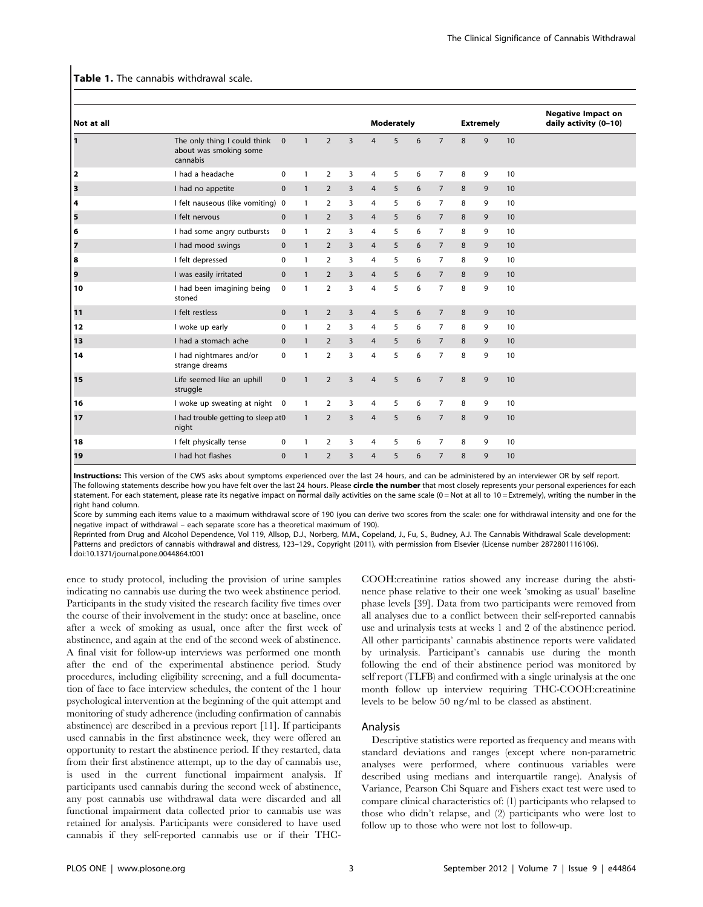#### Table 1. The cannabis withdrawal scale.

| Not at all              |                                                                    |              |              |                |                |                | <b>Moderately</b> |   |                |   | <b>Extremely</b> |    | <b>Negative Impact on</b><br>daily activity (0-10) |  |
|-------------------------|--------------------------------------------------------------------|--------------|--------------|----------------|----------------|----------------|-------------------|---|----------------|---|------------------|----|----------------------------------------------------|--|
| $\mathbf{1}$            | The only thing I could think<br>about was smoking some<br>cannabis | $\mathbf{0}$ | $\mathbf{1}$ | $\overline{2}$ | $\overline{3}$ | $\overline{4}$ | 5                 | 6 | $\overline{7}$ | 8 | 9                | 10 |                                                    |  |
| 2                       | I had a headache                                                   | 0            | $\mathbf{1}$ | $\overline{2}$ | 3              | 4              | 5                 | 6 | $\overline{7}$ | 8 | 9                | 10 |                                                    |  |
| $\overline{\mathbf{3}}$ | I had no appetite                                                  | 0            | $\mathbf{1}$ | $\overline{2}$ | 3              | $\overline{4}$ | 5                 | 6 | $\overline{7}$ | 8 | 9                | 10 |                                                    |  |
| 4                       | I felt nauseous (like vomiting) 0                                  |              | $\mathbf{1}$ | 2              | 3              | 4              | 5                 | 6 | $\overline{7}$ | 8 | 9                | 10 |                                                    |  |
| 5                       | I felt nervous                                                     | 0            | $\mathbf{1}$ | $\overline{2}$ | 3              | 4              | 5                 | 6 | $\overline{7}$ | 8 | 9                | 10 |                                                    |  |
| 6                       | I had some angry outbursts                                         | 0            | $\mathbf{1}$ | $\overline{2}$ | 3              | 4              | 5                 | 6 | 7              | 8 | 9                | 10 |                                                    |  |
| 7                       | I had mood swings                                                  | 0            | $\mathbf{1}$ | $\overline{2}$ | 3              | 4              | 5                 | 6 | $\overline{7}$ | 8 | 9                | 10 |                                                    |  |
| 8                       | I felt depressed                                                   | 0            | $\mathbf{1}$ | $\overline{2}$ | 3              | 4              | 5                 | 6 | $\overline{7}$ | 8 | 9                | 10 |                                                    |  |
| $\mathbf{9}$            | I was easily irritated                                             | $\mathbf 0$  | $\mathbf{1}$ | $\overline{2}$ | 3              | $\overline{4}$ | 5                 | 6 | $\overline{7}$ | 8 | 9                | 10 |                                                    |  |
| 10                      | I had been imagining being<br>stoned                               | $\mathbf 0$  | $\mathbf{1}$ | $\overline{2}$ | 3              | 4              | 5                 | 6 | $\overline{7}$ | 8 | 9                | 10 |                                                    |  |
| 11                      | I felt restless                                                    | $\mathbf{0}$ | $\mathbf{1}$ | $\overline{2}$ | 3              | $\overline{4}$ | 5                 | 6 | $\overline{7}$ | 8 | 9                | 10 |                                                    |  |
| 12                      | I woke up early                                                    | $\mathbf 0$  | $\mathbf{1}$ | $\overline{2}$ | 3              | 4              | 5                 | 6 | $\overline{7}$ | 8 | 9                | 10 |                                                    |  |
| 13                      | I had a stomach ache                                               | $\mathbf 0$  | $\mathbf{1}$ | $\overline{2}$ | 3              | $\overline{4}$ | 5                 | 6 | $\overline{7}$ | 8 | 9                | 10 |                                                    |  |
| 14                      | I had nightmares and/or<br>strange dreams                          | $\mathbf 0$  | $\mathbf{1}$ | $\overline{2}$ | 3              | 4              | 5                 | 6 | $\overline{7}$ | 8 | 9                | 10 |                                                    |  |
| 15                      | Life seemed like an uphill<br>struggle                             | $\mathbf{0}$ | 1            | $\overline{2}$ | 3              | $\overline{4}$ | 5                 | 6 | $\overline{7}$ | 8 | 9                | 10 |                                                    |  |
| 16                      | I woke up sweating at night 0                                      |              | $\mathbf{1}$ | $\overline{2}$ | 3              | 4              | 5                 | 6 | $\overline{7}$ | 8 | 9                | 10 |                                                    |  |
| 17                      | I had trouble getting to sleep at0<br>night                        |              | $\mathbf{1}$ | $\overline{2}$ | 3              | $\overline{4}$ | 5                 | 6 | $\overline{7}$ | 8 | 9                | 10 |                                                    |  |
| 18                      | I felt physically tense                                            | 0            | $\mathbf{1}$ | 2              | 3              | 4              | 5                 | 6 | 7              | 8 | 9                | 10 |                                                    |  |
| 19                      | I had hot flashes                                                  | $\mathbf{0}$ | $\mathbf{1}$ | $\overline{2}$ | 3              | 4              | 5                 | 6 | $\overline{7}$ | 8 | 9                | 10 |                                                    |  |

Instructions: This version of the CWS asks about symptoms experienced over the last 24 hours, and can be administered by an interviewer OR by self report. The following statements describe how you have felt over the last 24 hours. Please circle the number that most closely represents your personal experiences for each statement. For each statement, please rate its negative impact on normal daily activities on the same scale (0 = Not at all to 10 = Extremely), writing the number in the right hand column.

Score by summing each items value to a maximum withdrawal score of 190 (you can derive two scores from the scale: one for withdrawal intensity and one for the negative impact of withdrawal – each separate score has a theoretical maximum of 190).

Reprinted from Drug and Alcohol Dependence, Vol 119, Allsop, D.J., Norberg, M.M., Copeland, J., Fu, S., Budney, A.J. The Cannabis Withdrawal Scale development: Patterns and predictors of cannabis withdrawal and distress, 123–129., Copyright (2011), with permission from Elsevier (License number 2872801116106). doi:10.1371/journal.pone.0044864.t001

ence to study protocol, including the provision of urine samples indicating no cannabis use during the two week abstinence period. Participants in the study visited the research facility five times over the course of their involvement in the study: once at baseline, once after a week of smoking as usual, once after the first week of abstinence, and again at the end of the second week of abstinence. A final visit for follow-up interviews was performed one month after the end of the experimental abstinence period. Study procedures, including eligibility screening, and a full documentation of face to face interview schedules, the content of the 1 hour psychological intervention at the beginning of the quit attempt and monitoring of study adherence (including confirmation of cannabis abstinence) are described in a previous report [11]. If participants used cannabis in the first abstinence week, they were offered an opportunity to restart the abstinence period. If they restarted, data from their first abstinence attempt, up to the day of cannabis use, is used in the current functional impairment analysis. If participants used cannabis during the second week of abstinence, any post cannabis use withdrawal data were discarded and all functional impairment data collected prior to cannabis use was retained for analysis. Participants were considered to have used cannabis if they self-reported cannabis use or if their THC-

COOH:creatinine ratios showed any increase during the abstinence phase relative to their one week 'smoking as usual' baseline phase levels [39]. Data from two participants were removed from all analyses due to a conflict between their self-reported cannabis use and urinalysis tests at weeks 1 and 2 of the abstinence period. All other participants' cannabis abstinence reports were validated by urinalysis. Participant's cannabis use during the month following the end of their abstinence period was monitored by self report (TLFB) and confirmed with a single urinalysis at the one month follow up interview requiring THC-COOH:creatinine levels to be below 50 ng/ml to be classed as abstinent.

#### Analysis

Descriptive statistics were reported as frequency and means with standard deviations and ranges (except where non-parametric analyses were performed, where continuous variables were described using medians and interquartile range). Analysis of Variance, Pearson Chi Square and Fishers exact test were used to compare clinical characteristics of: (1) participants who relapsed to those who didn't relapse, and (2) participants who were lost to follow up to those who were not lost to follow-up.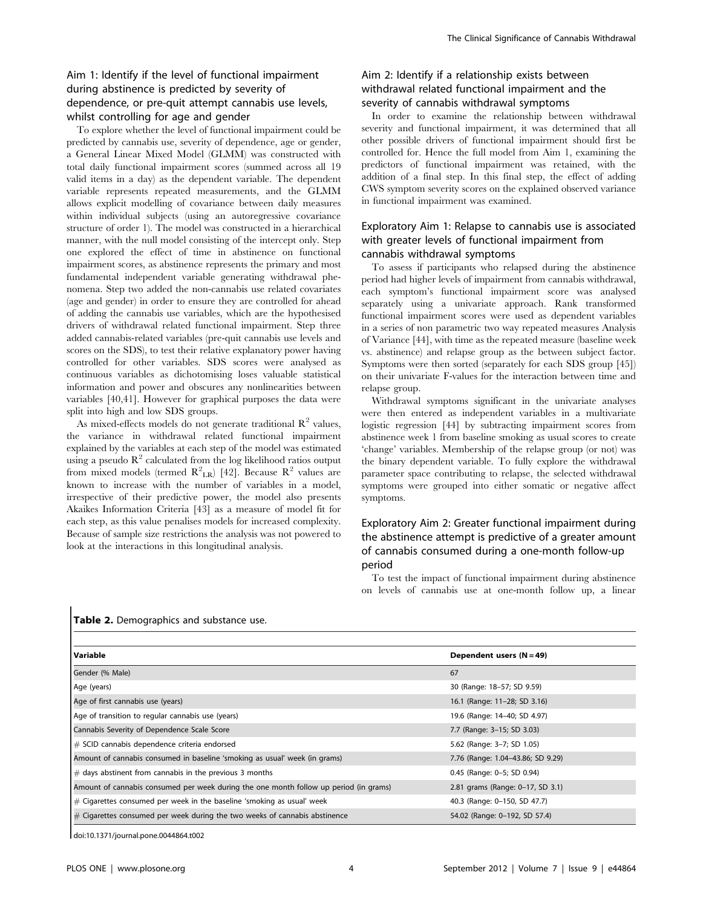## Aim 1: Identify if the level of functional impairment during abstinence is predicted by severity of dependence, or pre-quit attempt cannabis use levels, whilst controlling for age and gender

To explore whether the level of functional impairment could be predicted by cannabis use, severity of dependence, age or gender, a General Linear Mixed Model (GLMM) was constructed with total daily functional impairment scores (summed across all 19 valid items in a day) as the dependent variable. The dependent variable represents repeated measurements, and the GLMM allows explicit modelling of covariance between daily measures within individual subjects (using an autoregressive covariance structure of order 1). The model was constructed in a hierarchical manner, with the null model consisting of the intercept only. Step one explored the effect of time in abstinence on functional impairment scores, as abstinence represents the primary and most fundamental independent variable generating withdrawal phenomena. Step two added the non-cannabis use related covariates (age and gender) in order to ensure they are controlled for ahead of adding the cannabis use variables, which are the hypothesised drivers of withdrawal related functional impairment. Step three added cannabis-related variables (pre-quit cannabis use levels and scores on the SDS), to test their relative explanatory power having controlled for other variables. SDS scores were analysed as continuous variables as dichotomising loses valuable statistical information and power and obscures any nonlinearities between variables [40,41]. However for graphical purposes the data were split into high and low SDS groups.

As mixed-effects models do not generate traditional  $\mathbb{R}^2$  values, the variance in withdrawal related functional impairment explained by the variables at each step of the model was estimated using a pseudo  $R^2$  calculated from the log likelihood ratios output from mixed models (termed  $R^2_{LR}$ ) [42]. Because  $R^2$  values are known to increase with the number of variables in a model, irrespective of their predictive power, the model also presents Akaikes Information Criteria [43] as a measure of model fit for each step, as this value penalises models for increased complexity. Because of sample size restrictions the analysis was not powered to look at the interactions in this longitudinal analysis.

## Aim 2: Identify if a relationship exists between withdrawal related functional impairment and the severity of cannabis withdrawal symptoms

In order to examine the relationship between withdrawal severity and functional impairment, it was determined that all other possible drivers of functional impairment should first be controlled for. Hence the full model from Aim 1, examining the predictors of functional impairment was retained, with the addition of a final step. In this final step, the effect of adding CWS symptom severity scores on the explained observed variance in functional impairment was examined.

## Exploratory Aim 1: Relapse to cannabis use is associated with greater levels of functional impairment from cannabis withdrawal symptoms

To assess if participants who relapsed during the abstinence period had higher levels of impairment from cannabis withdrawal, each symptom's functional impairment score was analysed separately using a univariate approach. Rank transformed functional impairment scores were used as dependent variables in a series of non parametric two way repeated measures Analysis of Variance [44], with time as the repeated measure (baseline week vs. abstinence) and relapse group as the between subject factor. Symptoms were then sorted (separately for each SDS group [45]) on their univariate F-values for the interaction between time and relapse group.

Withdrawal symptoms significant in the univariate analyses were then entered as independent variables in a multivariate logistic regression [44] by subtracting impairment scores from abstinence week 1 from baseline smoking as usual scores to create 'change' variables. Membership of the relapse group (or not) was the binary dependent variable. To fully explore the withdrawal parameter space contributing to relapse, the selected withdrawal symptoms were grouped into either somatic or negative affect symptoms.

## Exploratory Aim 2: Greater functional impairment during the abstinence attempt is predictive of a greater amount of cannabis consumed during a one-month follow-up period

To test the impact of functional impairment during abstinence on levels of cannabis use at one-month follow up, a linear

| Variable                                                                              | Dependent users $(N = 49)$        |
|---------------------------------------------------------------------------------------|-----------------------------------|
| Gender (% Male)                                                                       | 67                                |
| Age (years)                                                                           | 30 (Range: 18-57; SD 9.59)        |
| Age of first cannabis use (years)                                                     | 16.1 (Range: 11-28; SD 3.16)      |
| Age of transition to regular cannabis use (years)                                     | 19.6 (Range: 14-40; SD 4.97)      |
| Cannabis Severity of Dependence Scale Score                                           | 7.7 (Range: 3-15; SD 3.03)        |
| # SCID cannabis dependence criteria endorsed                                          | 5.62 (Range: 3-7; SD 1.05)        |
| Amount of cannabis consumed in baseline 'smoking as usual' week (in grams)            | 7.76 (Range: 1.04-43.86; SD 9.29) |
| $#$ days abstinent from cannabis in the previous 3 months                             | 0.45 (Range: 0-5; SD 0.94)        |
| Amount of cannabis consumed per week during the one month follow up period (in grams) | 2.81 grams (Range: 0-17, SD 3.1)  |
| $#$ Cigarettes consumed per week in the baseline 'smoking as usual' week              | 40.3 (Range: 0-150, SD 47.7)      |
| $#$ Cigarettes consumed per week during the two weeks of cannabis abstinence          | 54.02 (Range: 0-192, SD 57.4)     |

## Table 2. Demographics and substance use.

doi:10.1371/journal.pone.0044864.t002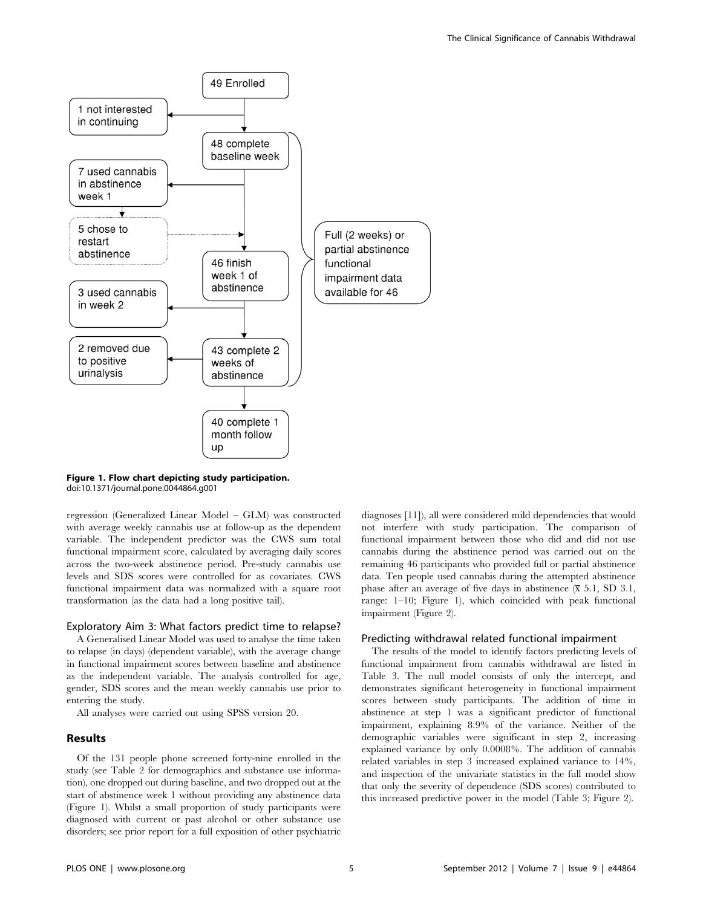

Figure 1. Flow chart depicting study participation. doi:10.1371/journal.pone.0044864.g001

regression (Generalized Linear Model – GLM) was constructed with average weekly cannabis use at follow-up as the dependent variable. The independent predictor was the CWS sum total functional impairment score, calculated by averaging daily scores across the two-week abstinence period. Pre-study cannabis use levels and SDS scores were controlled for as covariates. CWS functional impairment data was normalized with a square root transformation (as the data had a long positive tail).

## Exploratory Aim 3: What factors predict time to relapse?

A Generalised Linear Model was used to analyse the time taken to relapse (in days) (dependent variable), with the average change in functional impairment scores between baseline and abstinence as the independent variable. The analysis controlled for age, gender, SDS scores and the mean weekly cannabis use prior to entering the study.

All analyses were carried out using SPSS version 20.

## Results

Of the 131 people phone screened forty-nine enrolled in the study (see Table 2 for demographics and substance use information), one dropped out during baseline, and two dropped out at the start of abstinence week 1 without providing any abstinence data (Figure 1). Whilst a small proportion of study participants were diagnosed with current or past alcohol or other substance use disorders; see prior report for a full exposition of other psychiatric diagnoses [11]), all were considered mild dependencies that would not interfere with study participation. The comparison of functional impairment between those who did and did not use cannabis during the abstinence period was carried out on the remaining 46 participants who provided full or partial abstinence data. Ten people used cannabis during the attempted abstinence phase after an average of five days in abstinence  $(\overline{x} 5.1, SD 3.1,$ range: 1–10; Figure 1), which coincided with peak functional impairment (Figure 2).

#### Predicting withdrawal related functional impairment

The results of the model to identify factors predicting levels of functional impairment from cannabis withdrawal are listed in Table 3. The null model consists of only the intercept, and demonstrates significant heterogeneity in functional impairment scores between study participants. The addition of time in abstinence at step 1 was a significant predictor of functional impairment, explaining 8.9% of the variance. Neither of the demographic variables were significant in step 2, increasing explained variance by only 0.0008%. The addition of cannabis related variables in step 3 increased explained variance to 14%, and inspection of the univariate statistics in the full model show that only the severity of dependence (SDS scores) contributed to this increased predictive power in the model (Table 3; Figure 2).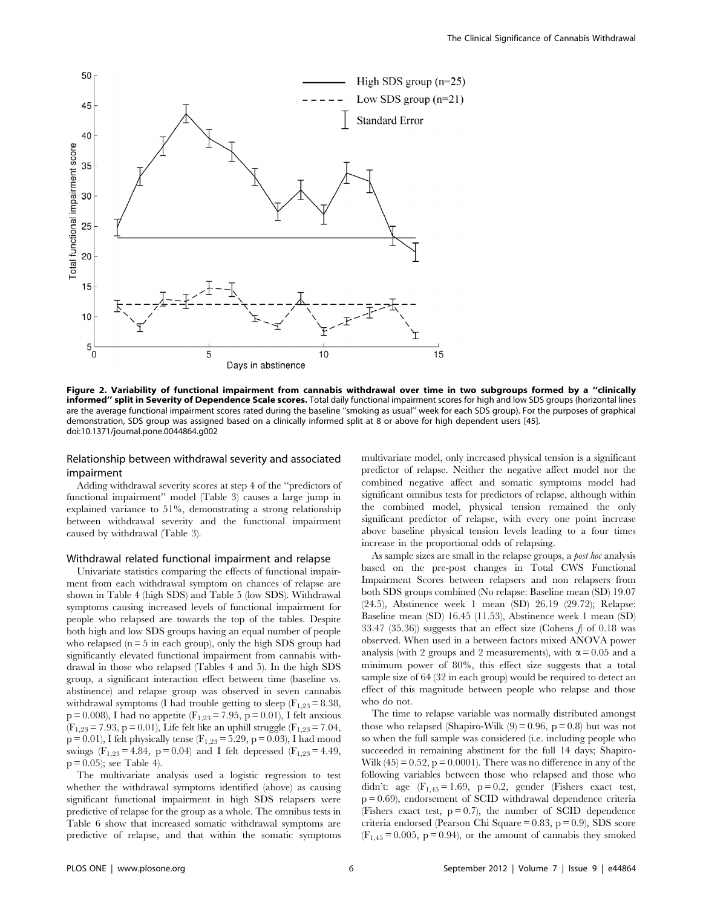

Figure 2. Variability of functional impairment from cannabis withdrawal over time in two subgroups formed by a ''clinically informed" split in Severity of Dependence Scale scores. Total daily functional impairment scores for high and low SDS groups (horizontal lines are the average functional impairment scores rated during the baseline ''smoking as usual'' week for each SDS group). For the purposes of graphical demonstration, SDS group was assigned based on a clinically informed split at 8 or above for high dependent users [45]. doi:10.1371/journal.pone.0044864.g002

## Relationship between withdrawal severity and associated impairment

Adding withdrawal severity scores at step 4 of the ''predictors of functional impairment'' model (Table 3) causes a large jump in explained variance to 51%, demonstrating a strong relationship between withdrawal severity and the functional impairment caused by withdrawal (Table 3).

#### Withdrawal related functional impairment and relapse

Univariate statistics comparing the effects of functional impairment from each withdrawal symptom on chances of relapse are shown in Table 4 (high SDS) and Table 5 (low SDS). Withdrawal symptoms causing increased levels of functional impairment for people who relapsed are towards the top of the tables. Despite both high and low SDS groups having an equal number of people who relapsed  $(n = 5$  in each group), only the high SDS group had significantly elevated functional impairment from cannabis withdrawal in those who relapsed (Tables 4 and 5). In the high SDS group, a significant interaction effect between time (baseline vs. abstinence) and relapse group was observed in seven cannabis withdrawal symptoms (I had trouble getting to sleep  $(F_{1,23}=8.38,$  $p = 0.008$ , I had no appetite ( $F_{1,23} = 7.95$ ,  $p = 0.01$ ), I felt anxious  $(F_{1,23} = 7.93, p = 0.01)$ , Life felt like an uphill struggle  $(F_{1,23} = 7.04,$  $p = 0.01$ ), I felt physically tense ( $F_{1,23} = 5.29$ ,  $p = 0.03$ ), I had mood swings (F<sub>1,23</sub> = 4.84, p = 0.04) and I felt depressed (F<sub>1,23</sub> = 4.49,  $p = 0.05$ ); see Table 4).

The multivariate analysis used a logistic regression to test whether the withdrawal symptoms identified (above) as causing significant functional impairment in high SDS relapsers were predictive of relapse for the group as a whole. The omnibus tests in Table 6 show that increased somatic withdrawal symptoms are predictive of relapse, and that within the somatic symptoms multivariate model, only increased physical tension is a significant predictor of relapse. Neither the negative affect model nor the combined negative affect and somatic symptoms model had significant omnibus tests for predictors of relapse, although within the combined model, physical tension remained the only significant predictor of relapse, with every one point increase above baseline physical tension levels leading to a four times increase in the proportional odds of relapsing.

As sample sizes are small in the relapse groups, a *post hoc* analysis based on the pre-post changes in Total CWS Functional Impairment Scores between relapsers and non relapsers from both SDS groups combined (No relapse: Baseline mean (SD) 19.07 (24.5), Abstinence week 1 mean (SD) 26.19 (29.72); Relapse: Baseline mean (SD) 16.45 (11.53), Abstinence week 1 mean (SD) 33.47 (35.36)) suggests that an effect size (Cohens  $\hat{f}$  of 0.18 was observed. When used in a between factors mixed ANOVA power analysis (with 2 groups and 2 measurements), with  $\alpha$  = 0.05 and a minimum power of 80%, this effect size suggests that a total sample size of 64 (32 in each group) would be required to detect an effect of this magnitude between people who relapse and those who do not.

The time to relapse variable was normally distributed amongst those who relapsed (Shapiro-Wilk  $(9) = 0.96$ , p = 0.8) but was not so when the full sample was considered (i.e. including people who succeeded in remaining abstinent for the full 14 days; Shapiro-Wilk  $(45) = 0.52$ ,  $p = 0.0001$ ). There was no difference in any of the following variables between those who relapsed and those who didn't: age  $(F_{1,45} = 1.69, p = 0.2,$  gender (Fishers exact test, p = 0.69), endorsement of SCID withdrawal dependence criteria (Fishers exact test,  $p = 0.7$ ), the number of SCID dependence criteria endorsed (Pearson Chi Square = 0.83, p = 0.9), SDS score  $(F<sub>1,45</sub> = 0.005, p = 0.94)$ , or the amount of cannabis they smoked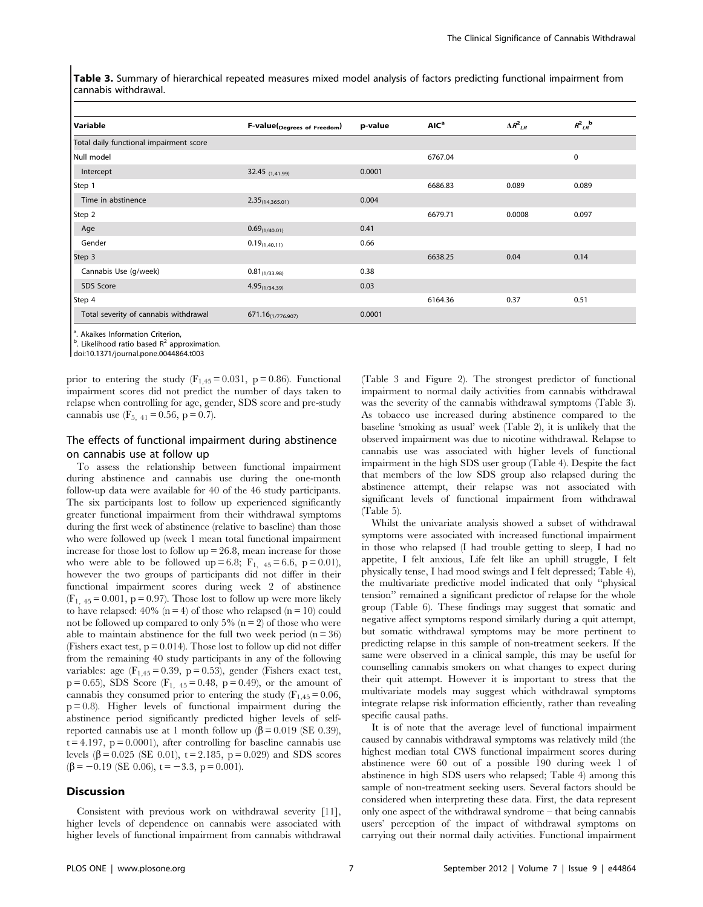Table 3. Summary of hierarchical repeated measures mixed model analysis of factors predicting functional impairment from cannabis withdrawal.

| Variable                                | F-value( <sub>Degrees of Freedom</sub> ) | p-value | AIC <sup>a</sup> | $\Delta R^2_{LR}$ | $R^2_{LR}$ <sub>b</sub> |
|-----------------------------------------|------------------------------------------|---------|------------------|-------------------|-------------------------|
| Total daily functional impairment score |                                          |         |                  |                   |                         |
| Null model                              |                                          |         | 6767.04          |                   | 0                       |
| Intercept                               | 32.45 $(1,41.99)$                        | 0.0001  |                  |                   |                         |
| Step 1                                  |                                          |         | 6686.83          | 0.089             | 0.089                   |
| Time in abstinence                      | $2.35_{(14,365.01)}$                     | 0.004   |                  |                   |                         |
| Step 2                                  |                                          |         | 6679.71          | 0.0008            | 0.097                   |
| Age                                     | $0.69_{(1/40.01)}$                       | 0.41    |                  |                   |                         |
| Gender                                  | $0.19_{(1,40.11)}$                       | 0.66    |                  |                   |                         |
| Step 3                                  |                                          |         | 6638.25          | 0.04              | 0.14                    |
| Cannabis Use (g/week)                   | $0.81_{(1/33.98)}$                       | 0.38    |                  |                   |                         |
| SDS Score                               | $4.95_{(1/34.39)}$                       | 0.03    |                  |                   |                         |
| Step 4                                  |                                          |         | 6164.36          | 0.37              | 0.51                    |
| Total severity of cannabis withdrawal   | $671.16_{(1/776.907)}$                   | 0.0001  |                  |                   |                         |

<sup>a</sup>. Akaikes Information Criterion,

<sup>b</sup>. Likelihood ratio based R<sup>2</sup> approximation.

doi:10.1371/journal.pone.0044864.t003

prior to entering the study  $(F_{1,45} = 0.031, p = 0.86)$ . Functional impairment scores did not predict the number of days taken to relapse when controlling for age, gender, SDS score and pre-study cannabis use  $(F_{5, 41} = 0.56, p = 0.7)$ .

#### The effects of functional impairment during abstinence on cannabis use at follow up

To assess the relationship between functional impairment during abstinence and cannabis use during the one-month follow-up data were available for 40 of the 46 study participants. The six participants lost to follow up experienced significantly greater functional impairment from their withdrawal symptoms during the first week of abstinence (relative to baseline) than those who were followed up (week 1 mean total functional impairment increase for those lost to follow  $up = 26.8$ , mean increase for those who were able to be followed up = 6.8;  $F_{1, 45} = 6.6$ , p = 0.01), however the two groups of participants did not differ in their functional impairment scores during week 2 of abstinence  $(F_{1, 45} = 0.001, p = 0.97)$ . Those lost to follow up were more likely to have relapsed:  $40\%$  (n = 4) of those who relapsed (n = 10) could not be followed up compared to only  $5\%$  (n = 2) of those who were able to maintain abstinence for the full two week period  $(n = 36)$ (Fishers exact test,  $p = 0.014$ ). Those lost to follow up did not differ from the remaining 40 study participants in any of the following variables: age  $(F_{1,45} = 0.39, p = 0.53)$ , gender (Fishers exact test,  $p = 0.65$ ), SDS Score (F<sub>1, 45</sub> = 0.48,  $p = 0.49$ ), or the amount of cannabis they consumed prior to entering the study  $(F<sub>1.45</sub> = 0.06)$ ,  $p = 0.8$ ). Higher levels of functional impairment during the abstinence period significantly predicted higher levels of selfreported cannabis use at 1 month follow up ( $\beta$  = 0.019 (SE 0.39),  $t = 4.197$ ,  $p = 0.0001$ ), after controlling for baseline cannabis use levels ( $\beta$  = 0.025 (SE 0.01), t = 2.185, p = 0.029) and SDS scores  $(\beta = -0.19$  (SE 0.06),  $t = -3.3$ , p = 0.001).

## **Discussion**

Consistent with previous work on withdrawal severity [11], higher levels of dependence on cannabis were associated with higher levels of functional impairment from cannabis withdrawal

(Table 3 and Figure 2). The strongest predictor of functional impairment to normal daily activities from cannabis withdrawal was the severity of the cannabis withdrawal symptoms (Table 3). As tobacco use increased during abstinence compared to the baseline 'smoking as usual' week (Table 2), it is unlikely that the observed impairment was due to nicotine withdrawal. Relapse to cannabis use was associated with higher levels of functional impairment in the high SDS user group (Table 4). Despite the fact that members of the low SDS group also relapsed during the abstinence attempt, their relapse was not associated with significant levels of functional impairment from withdrawal (Table 5).

Whilst the univariate analysis showed a subset of withdrawal symptoms were associated with increased functional impairment in those who relapsed (I had trouble getting to sleep, I had no appetite, I felt anxious, Life felt like an uphill struggle, I felt physically tense, I had mood swings and I felt depressed; Table 4), the multivariate predictive model indicated that only ''physical tension'' remained a significant predictor of relapse for the whole group (Table 6). These findings may suggest that somatic and negative affect symptoms respond similarly during a quit attempt, but somatic withdrawal symptoms may be more pertinent to predicting relapse in this sample of non-treatment seekers. If the same were observed in a clinical sample, this may be useful for counselling cannabis smokers on what changes to expect during their quit attempt. However it is important to stress that the multivariate models may suggest which withdrawal symptoms integrate relapse risk information efficiently, rather than revealing specific causal paths.

It is of note that the average level of functional impairment caused by cannabis withdrawal symptoms was relatively mild (the highest median total CWS functional impairment scores during abstinence were 60 out of a possible 190 during week 1 of abstinence in high SDS users who relapsed; Table 4) among this sample of non-treatment seeking users. Several factors should be considered when interpreting these data. First, the data represent only one aspect of the withdrawal syndrome – that being cannabis users' perception of the impact of withdrawal symptoms on carrying out their normal daily activities. Functional impairment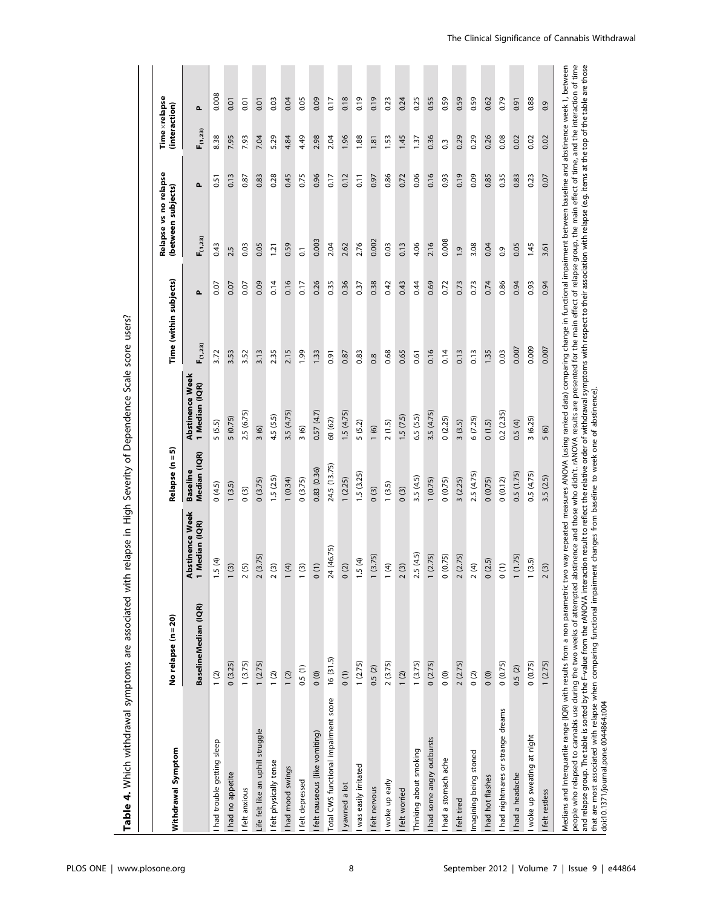|                                                                                                                                                                                                                                                                                                                                                                                                                                                                                                                                                                                                                                                                                                                                                                                                                                                                    | No relapse (n = 20)  |                                | Relapse (n = 5)                     |                                   | Time (within subjects) |        | Relapse vs no relapse<br>(between subjects) |                   | Time xrelapse<br>(interaction) |       |
|--------------------------------------------------------------------------------------------------------------------------------------------------------------------------------------------------------------------------------------------------------------------------------------------------------------------------------------------------------------------------------------------------------------------------------------------------------------------------------------------------------------------------------------------------------------------------------------------------------------------------------------------------------------------------------------------------------------------------------------------------------------------------------------------------------------------------------------------------------------------|----------------------|--------------------------------|-------------------------------------|-----------------------------------|------------------------|--------|---------------------------------------------|-------------------|--------------------------------|-------|
| Withdrawal Symptom                                                                                                                                                                                                                                                                                                                                                                                                                                                                                                                                                                                                                                                                                                                                                                                                                                                 | BaselineMedian (IQR) | bstinence Week<br>Median (IQR) | Median (IQR)<br><b>Baseline</b>     | Abstinence Week<br>1 Median (IQR) | $F_{(1,23)}$           | $\sim$ | $F_{(1,23)}$                                | Δ.                | $F_{(1,23)}$                   | Δ     |
| had trouble getting sleep                                                                                                                                                                                                                                                                                                                                                                                                                                                                                                                                                                                                                                                                                                                                                                                                                                          | 1(2)                 | $\widehat{f}$<br>Lņ            | (4.5)<br>$\circ$                    | 5 (5.5)                           | 3.72                   | 0.07   | 0.43                                        | 0.51              | 8.38                           | 0.008 |
| had no appetite                                                                                                                                                                                                                                                                                                                                                                                                                                                                                                                                                                                                                                                                                                                                                                                                                                                    | 0(3.25)              | $\widehat{\Xi}$                | 1(3.5)                              | 5 (0.75)                          | 3.53                   | 0.07   | 2.5                                         | 0.13              | 7.95                           | 0.01  |
| felt anxious                                                                                                                                                                                                                                                                                                                                                                                                                                                                                                                                                                                                                                                                                                                                                                                                                                                       | 1(3.75)              | $\overline{5}$                 | $\widehat{\mathfrak{G}}$<br>$\circ$ | 2.5 (6.75)                        | 3.52                   | 0.07   | 0.03                                        | 0.87              | 7.93                           | 0.01  |
| Ife felt like an uphill struggle                                                                                                                                                                                                                                                                                                                                                                                                                                                                                                                                                                                                                                                                                                                                                                                                                                   | 1(2.75)              | (3.75)<br>$\sim$               | 0(3.75)                             | 3(6)                              | 3.13                   | 0.09   | 0.05                                        | 0.83              | 7.04                           | 0.01  |
| felt physically tense                                                                                                                                                                                                                                                                                                                                                                                                                                                                                                                                                                                                                                                                                                                                                                                                                                              | 1(2)                 | ම                              | 1.5(2.5)                            | 4.5 (5.5)                         | 2.35                   | 0.14   | 1.21                                        | 0.28              | 5.29                           | 0.03  |
| had mood swings                                                                                                                                                                                                                                                                                                                                                                                                                                                                                                                                                                                                                                                                                                                                                                                                                                                    | 1(2)                 | $\widehat{f}$                  | 1(0.34)                             | 3.5 (4.75)                        | 2.15                   | 0.16   | 0.59                                        | 0.45              | 4.84                           | 0.04  |
| felt depressed                                                                                                                                                                                                                                                                                                                                                                                                                                                                                                                                                                                                                                                                                                                                                                                                                                                     | 0.5(1)               | $\widehat{\Xi}$                | 0(3.75)                             | 3(6)                              | 1.99                   | 0.17   | $\overline{0}$                              | 0.75              | 4.49                           | 0.05  |
| felt nauseous (like vomiting)                                                                                                                                                                                                                                                                                                                                                                                                                                                                                                                                                                                                                                                                                                                                                                                                                                      | $\circ$              | $\widehat{c}$<br>$\circ$       | 0.83 (0.36)                         | 0.57(4.7)                         | 1.33                   | 0.26   | 0.003                                       | 0.96              | 2.98                           | 0.09  |
| Total CWS functional impairment score                                                                                                                                                                                                                                                                                                                                                                                                                                                                                                                                                                                                                                                                                                                                                                                                                              | 16(31.5)             | 24 (46.75)                     | 24.5 (13.75)                        | 60 (62)                           | 0.91                   | 0.35   | 2.04                                        | 0.17              | 2.04                           | 0.17  |
| yawned a lot                                                                                                                                                                                                                                                                                                                                                                                                                                                                                                                                                                                                                                                                                                                                                                                                                                                       | $\overline{0}$ (1)   | $\widehat{\Omega}$<br>$\circ$  | (2.25)                              | 1.5(4.75)                         | 0.87                   | 0.36   | 2.62                                        | 0.12              | 1.96                           | 0.18  |
| was easily irritated                                                                                                                                                                                                                                                                                                                                                                                                                                                                                                                                                                                                                                                                                                                                                                                                                                               | 1(2.75)              | 5(4)                           | 1.5 (3.25)                          | 5 (5.2)                           | 0.83                   | 0.37   | 2.76                                        | $\overline{0.11}$ | 1.88                           | 0.19  |
| felt nervous                                                                                                                                                                                                                                                                                                                                                                                                                                                                                                                                                                                                                                                                                                                                                                                                                                                       | 0.5(2)               | (3.75)                         | 0(3)                                | 1(6)                              | $0.\overline{8}$       | 0.38   | 0.002                                       | 0.97              | 1.81                           | 0.19  |
| woke up early                                                                                                                                                                                                                                                                                                                                                                                                                                                                                                                                                                                                                                                                                                                                                                                                                                                      | 2(3.75)              | $\widehat{f}$                  | 1(3.5)                              | 2(1.5)                            | 0.68                   | 0.42   | 0.03                                        | 0.86              | 1.53                           | 0.23  |
| felt worried                                                                                                                                                                                                                                                                                                                                                                                                                                                                                                                                                                                                                                                                                                                                                                                                                                                       | 1(2)                 | $\widehat{\mathcal{L}}$        | 0(3)                                | 1.5(7.5)                          | 0.65                   | 0.43   | 0.13                                        | 0.72              | 1.45                           | 0.24  |
| Thinking about smoking                                                                                                                                                                                                                                                                                                                                                                                                                                                                                                                                                                                                                                                                                                                                                                                                                                             | 1(3.75)              | 5(4.5)                         | 3.5 (4.5)                           | 6.5 (5.5)                         | 0.61                   | 0.44   | 4.06                                        | 0.06              | 1.37                           | 0.25  |
| had some angry outbursts                                                                                                                                                                                                                                                                                                                                                                                                                                                                                                                                                                                                                                                                                                                                                                                                                                           | 0(2.75)              | (2.75)                         | (0.75)<br>$\overline{\phantom{0}}$  | 3.5 (4.75)                        | 0.16                   | 0.69   | 2.16                                        | 0.16              | 0.36                           | 0.55  |
| had a stomach ache                                                                                                                                                                                                                                                                                                                                                                                                                                                                                                                                                                                                                                                                                                                                                                                                                                                 | $\overline{0}$       | (0.75)<br>$\circ$              | (0.75)<br>$\circ$                   | 0(2.25)                           | 0.14                   | 0.72   | 0.008                                       | 0.93              | $0.\overline{3}$               | 0.59  |
| felt tired                                                                                                                                                                                                                                                                                                                                                                                                                                                                                                                                                                                                                                                                                                                                                                                                                                                         | 2(2.75)              | (2.75)                         | 3(2.25)                             | 3(3.5)                            | 0.13                   | 0.73   | $\ddot{0}$                                  | 0.19              | 0.29                           | 0.59  |
| Imagining being stoned                                                                                                                                                                                                                                                                                                                                                                                                                                                                                                                                                                                                                                                                                                                                                                                                                                             | 0(2)                 | $\widehat{f}$                  | 2.5 (4.75)                          | 6 (7.25)                          | 0.13                   | 0.73   | 3.08                                        | 0.09              | 0.29                           | 0.59  |
| had hot flashes                                                                                                                                                                                                                                                                                                                                                                                                                                                                                                                                                                                                                                                                                                                                                                                                                                                    | 0(0)                 | (2.5)<br>0                     | 0(0.75)                             | 0(1.5)                            | 1.35                   | 0.74   | 0.04                                        | 0.85              | 0.26                           | 0.62  |
| had nightmares or strange dreams                                                                                                                                                                                                                                                                                                                                                                                                                                                                                                                                                                                                                                                                                                                                                                                                                                   | 0(0.75)              | $\widehat{\Xi}$<br>0           | 0(0.12)                             | 0.2(2.35)                         | 0.03                   | 0.86   | 0.9                                         | 0.35              | 0.08                           | 0.79  |
| had a headache                                                                                                                                                                                                                                                                                                                                                                                                                                                                                                                                                                                                                                                                                                                                                                                                                                                     | 0.5(2)               | (1.75)                         | 0.5(1.75)                           | 0.5(4)                            | 0.007                  | 0.94   | 0.05                                        | 0.83              | 0.02                           | 0.91  |
| woke up sweating at night                                                                                                                                                                                                                                                                                                                                                                                                                                                                                                                                                                                                                                                                                                                                                                                                                                          | 0(0.75)              | (3.5)                          | 0.5(4.75)                           | 3(6.25)                           | 0.009                  | 0.93   | 1.45                                        | 0.23              | 0.02                           | 0.88  |
| felt restless                                                                                                                                                                                                                                                                                                                                                                                                                                                                                                                                                                                                                                                                                                                                                                                                                                                      | 1(2.75)              | $\overline{3}$                 | 3.5 (2.5)                           | 5(6)                              | 0.007                  | 0.94   | 3.61                                        | 0.07              | 0.02                           | 0.9   |
| people who relapsed to cannabis use during the two weeks of attempted abstinence and those who didn't. rANOVA results are presented for the main effect of relapse group, the main effect of time, and the interaction of time<br>Medians and Interquartile range (IQR) with results from a non parametric two way repeated measures ANOVA (using ranked data) comparing change in functional impairment between baseline and abstinence week 1, between<br>and relapse group. The table is sorted by the F-value from the rANOVA interaction result to refect the reative order of withdrawal symptoms with respect to their association with relapse (e.g. items at the top of the table<br>that are most associated with relapse when comparing functional impairment changes from baseline to week one of abstinence)<br>doi:10.1371/journal.pone.0044864.t004 |                      |                                |                                     |                                   |                        |        |                                             |                   |                                |       |

Table 4. Which withdrawal symptoms are associated with relapse in High Severity of Dependence Scale score users? Table 4. Which withdrawal symptoms are associated with relapse in High Severity of Dependence Scale score users?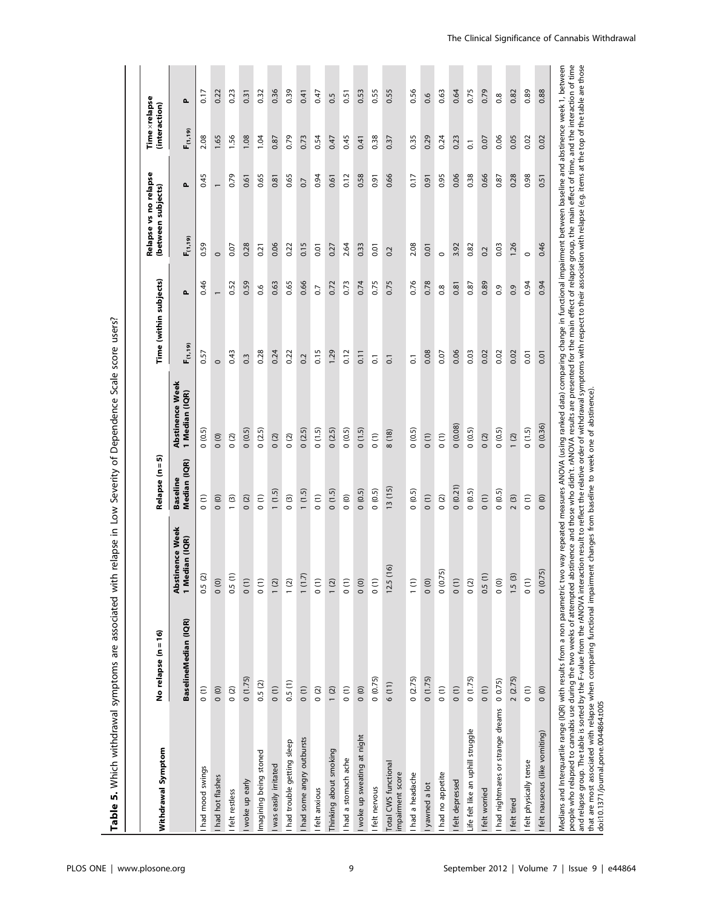| Withdrawal Symptom                                                                                                                                                                                                                                                                                                                                                                                                                                                                                                                                                                                                                                                                                                                                                                                                                                                  | No relapse (n = 16)                    |                                          | Relapse (n = 5)                 |                                          | Time (within subjects) |                | Relapse vs no relapse<br>(between subjects) |        | <b>Time</b> x relapse<br>(interaction) |                  |
|---------------------------------------------------------------------------------------------------------------------------------------------------------------------------------------------------------------------------------------------------------------------------------------------------------------------------------------------------------------------------------------------------------------------------------------------------------------------------------------------------------------------------------------------------------------------------------------------------------------------------------------------------------------------------------------------------------------------------------------------------------------------------------------------------------------------------------------------------------------------|----------------------------------------|------------------------------------------|---------------------------------|------------------------------------------|------------------------|----------------|---------------------------------------------|--------|----------------------------------------|------------------|
|                                                                                                                                                                                                                                                                                                                                                                                                                                                                                                                                                                                                                                                                                                                                                                                                                                                                     | BaselineMedian (IQR)                   | <b>Abstinence Week</b><br>1 Median (IQR) | Median (IQR)<br><b>Baseline</b> | <b>Abstinence Week</b><br>1 Median (IQR) | $F_{(1,19)}$           | $\sim$         | $F_{(1,19)}$                                | $\sim$ | $F_{(1,19)}$                           | $\sim$           |
| had mood swings                                                                                                                                                                                                                                                                                                                                                                                                                                                                                                                                                                                                                                                                                                                                                                                                                                                     | $\begin{pmatrix} 1 \\ 0 \end{pmatrix}$ | 0.5(2)                                   | $\overline{0}$ (1)              | (0.5)                                    | 0.57                   | 0.46           | 0.59                                        | 0.45   | 2.08                                   | 0.17             |
| had hot flashes                                                                                                                                                                                                                                                                                                                                                                                                                                                                                                                                                                                                                                                                                                                                                                                                                                                     | 000                                    | $\overline{0}$                           | $\overline{0}$                  | $\overline{0}$                           | $\circ$                |                | $\circ$                                     |        | 1.65                                   | 0.22             |
| felt restless                                                                                                                                                                                                                                                                                                                                                                                                                                                                                                                                                                                                                                                                                                                                                                                                                                                       | 0(2)                                   | 0.5(1)                                   | 1(3)                            | 0(2)                                     | 0.43                   | 0.52           | 0.07                                        | 0.79   | 1.56                                   | 0.23             |
| woke up early                                                                                                                                                                                                                                                                                                                                                                                                                                                                                                                                                                                                                                                                                                                                                                                                                                                       | 0(1.75)                                | $\widehat{c}$                            | 0(2)                            | 0(0.5)                                   | $0.\overline{3}$       | 0.59           | 0.28                                        | 0.61   | 1.08                                   | 0.31             |
| Imagining being stoned                                                                                                                                                                                                                                                                                                                                                                                                                                                                                                                                                                                                                                                                                                                                                                                                                                              | 0.5(2)                                 | $\overline{0}$ (1)                       | $\overline{0}$ (1)              | 0(2.5)                                   | 0.28                   | 0.6            | 0.21                                        | 0.65   | 1.04                                   | 0.32             |
| was easily irritated                                                                                                                                                                                                                                                                                                                                                                                                                                                                                                                                                                                                                                                                                                                                                                                                                                                | $\overline{0}$ (1)                     | 1(2)                                     | 1(1.5)                          | 0(2)                                     | 0.24                   | 0.63           | 0.06                                        | 0.81   | 0.87                                   | 0.36             |
| had trouble getting sleep                                                                                                                                                                                                                                                                                                                                                                                                                                                                                                                                                                                                                                                                                                                                                                                                                                           | 0.5(1)                                 | 1(2)                                     | 0(3)                            | 0(2)                                     | 0.22                   | 0.65           | 0.22                                        | 0.65   | 0.79                                   | 0.39             |
| had some angry outbursts                                                                                                                                                                                                                                                                                                                                                                                                                                                                                                                                                                                                                                                                                                                                                                                                                                            | $\overline{0}$ (1)                     | 1(1.7)                                   | 1(1.5)                          | 0(2.5)                                   | 0.2                    | 0.66           | 0.15                                        | 0.7    | 0.73                                   | 0.41             |
| felt anxious                                                                                                                                                                                                                                                                                                                                                                                                                                                                                                                                                                                                                                                                                                                                                                                                                                                        | 0(2)                                   | $\begin{pmatrix} 1 \\ 0 \end{pmatrix}$   | $\overline{c}$                  | 0(1.5)                                   | 0.15                   | $\overline{0}$ | 0.01                                        | 0.94   | 0.54                                   | 0.47             |
| Thinking about smoking                                                                                                                                                                                                                                                                                                                                                                                                                                                                                                                                                                                                                                                                                                                                                                                                                                              | 1(2)                                   | 1(2)                                     | 0(1.5)                          | 0(2.5)                                   | 1.29                   | 0.72           | 0.27                                        | 0.61   | 0.47                                   | 0.5              |
| had a stomach ache                                                                                                                                                                                                                                                                                                                                                                                                                                                                                                                                                                                                                                                                                                                                                                                                                                                  | $\begin{array}{c} 0 \end{array}$       | $\overline{0}$ (1)                       | $\overline{0}$                  | 0(0.5)                                   | 0.12                   | 0.73           | 2.64                                        | 0.12   | 0.45                                   | 0.51             |
| woke up sweating at night                                                                                                                                                                                                                                                                                                                                                                                                                                                                                                                                                                                                                                                                                                                                                                                                                                           | 0(0)                                   | 0(0)                                     | 0(0.5)                          | 0(1.5)                                   | $\overline{0.11}$      | 0.74           | 0.33                                        | 0.58   | 0.41                                   | 0.53             |
| I felt nervous                                                                                                                                                                                                                                                                                                                                                                                                                                                                                                                                                                                                                                                                                                                                                                                                                                                      | (0.75)                                 | $\overline{0}$ (1)                       | 0(0.5)                          | $\begin{pmatrix} 1 \end{pmatrix}$        | $\overline{0}$         | 0.75           | 0.01                                        | 0.91   | 0.38                                   | 0.55             |
| Total CWS functional<br>impairment score                                                                                                                                                                                                                                                                                                                                                                                                                                                                                                                                                                                                                                                                                                                                                                                                                            | 6(11)                                  | ତି<br>12.5(1)                            | 13(15)                          | 8(18)                                    | $\overline{0}$         | 0.75           | 0.2                                         | 0.66   | 0.37                                   | 0.55             |
| had a headache                                                                                                                                                                                                                                                                                                                                                                                                                                                                                                                                                                                                                                                                                                                                                                                                                                                      | 0(2.75)                                | 1(1)                                     | 0(0.5)                          | 0(0.5)                                   | $\overline{0}$         | 0.76           | 2.08                                        | 0.17   | 0.35                                   | 0.56             |
| yawned a lot                                                                                                                                                                                                                                                                                                                                                                                                                                                                                                                                                                                                                                                                                                                                                                                                                                                        | 0(1.75)                                | 0(0)                                     | $\overline{0}$ (1)              | $\begin{pmatrix} 1 \\ 2 \end{pmatrix}$   | 0.08                   | 0.78           | 0.01                                        | 0.91   | 0.29                                   | 0.6              |
| had no appetite                                                                                                                                                                                                                                                                                                                                                                                                                                                                                                                                                                                                                                                                                                                                                                                                                                                     | $\overline{0}$ (1)                     | 0(0.75)                                  | 0(2)                            | $\widehat{c}$                            | 0.07                   | 0.8            | $\circ$                                     | 0.95   | 0.24                                   | 0.63             |
| felt depressed                                                                                                                                                                                                                                                                                                                                                                                                                                                                                                                                                                                                                                                                                                                                                                                                                                                      | 0(1)                                   | $\widehat{c}$                            | 0(0.21)                         | 0(0.08)                                  | 0.06                   | 0.81           | 3.92                                        | 0.06   | 0.23                                   | 0.64             |
| Life felt like an uphill struggle                                                                                                                                                                                                                                                                                                                                                                                                                                                                                                                                                                                                                                                                                                                                                                                                                                   | 0(1.75)                                | (2)                                      | 0(0.5)                          | 0(0.5)                                   | 0.03                   | 0.87           | 0.82                                        | 0.38   | $\overline{0}$                         | 0.75             |
| felt worried                                                                                                                                                                                                                                                                                                                                                                                                                                                                                                                                                                                                                                                                                                                                                                                                                                                        | $\overline{0}$ (1)                     | 0.5(1)                                   | $\overline{0}$ (1)              | 0(2)                                     | 0.02                   | 0.89           | 0.2                                         | 0.66   | 0.07                                   | 0.79             |
| had nightmares or strange dreams                                                                                                                                                                                                                                                                                                                                                                                                                                                                                                                                                                                                                                                                                                                                                                                                                                    | 0.75)                                  | 0(0)                                     | 0(0.5)                          | 0(0.5)                                   | 0.02                   | $\overline{0}$ | 0.03                                        | 0.87   | 0.06                                   | $0.\overline{8}$ |
| felt tired                                                                                                                                                                                                                                                                                                                                                                                                                                                                                                                                                                                                                                                                                                                                                                                                                                                          | 2(2.75)                                | 1.5(3)                                   | 2(3)                            | 1(2)                                     | 0.02                   | 0.9            | 1.26                                        | 0.28   | 0.05                                   | 0.82             |
| felt physically tense                                                                                                                                                                                                                                                                                                                                                                                                                                                                                                                                                                                                                                                                                                                                                                                                                                               | $\overline{0}$ (1)                     | $\widehat{c}$                            | $\overline{0}$ (1)              | 0(1.5)                                   | 0.01                   | 0.94           | $\circ$                                     | 0.98   | 0.02                                   | 0.89             |
| felt nauseous (like vomiting)                                                                                                                                                                                                                                                                                                                                                                                                                                                                                                                                                                                                                                                                                                                                                                                                                                       | 000                                    | 0(0.75)                                  | $\overline{0}$                  | 0(0.36)                                  | 0.01                   | 0.94           | 0.46                                        | 0.51   | 0.02                                   | 0.88             |
| Medians and Interquartile range (IQR) with results from a non parametric two way repeated measures ANOVA (using ranked data) comparing change in functional impairment between baseline and abstinence week 1, between<br>people who relapsed to cannabis use during the two weeks of attempted abstinence and those who didn't. rANOVA results are presented for the main effect of relapse group, the main effect of time, and the interaction of time<br>and relapse group. The table is sorted by the F-value from the rANOVA interaction result to reflect the reative order of withdrawal symptoms with respect to their association with relapse (e.g. items at the top of the tabl<br>that are most associated with relapse when comparing functional impairment changes from baseline to week one of abstinence).<br>doi:10.1371/journal.pone.0044864.t005 |                                        |                                          |                                 |                                          |                        |                |                                             |        |                                        |                  |

Table 5. Which withdrawal symptoms are associated with relapse in Low Severity of Dependence Scale score users? Table 5. Which withdrawal symptoms are associated with relapse in Low Severity of Dependence Scale score users?

PLOS ONE | www.plosone.org | e44864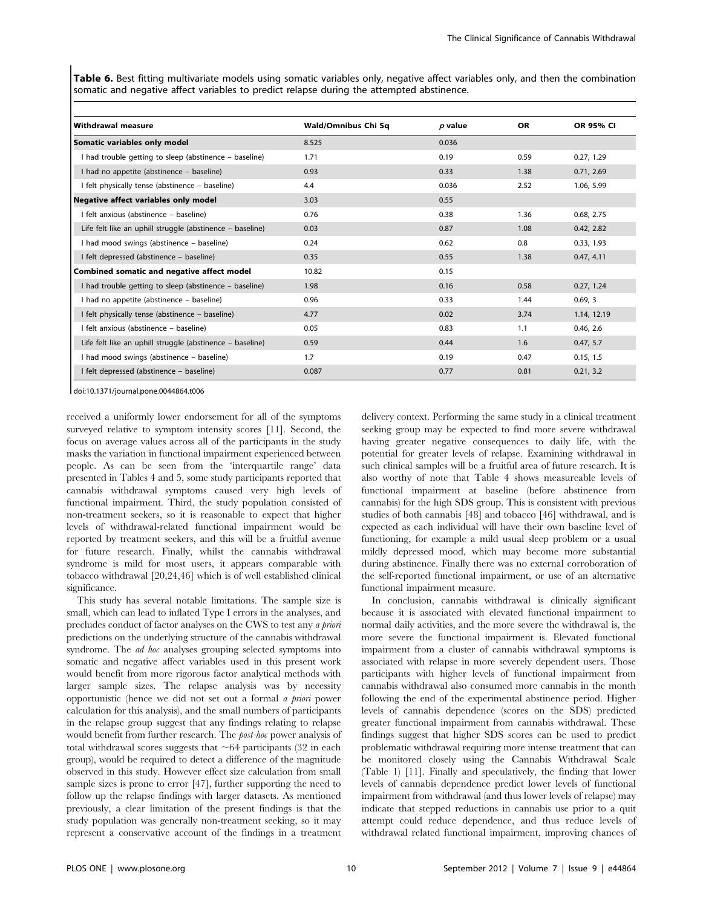Table 6. Best fitting multivariate models using somatic variables only, negative affect variables only, and then the combination somatic and negative affect variables to predict relapse during the attempted abstinence.

| Withdrawal measure                                        | Wald/Omnibus Chi Sq | $p$ value | <b>OR</b> | OR 95% CI   |
|-----------------------------------------------------------|---------------------|-----------|-----------|-------------|
| Somatic variables only model                              | 8.525               | 0.036     |           |             |
| I had trouble getting to sleep (abstinence - baseline)    | 1.71                | 0.19      | 0.59      | 0.27, 1.29  |
| I had no appetite (abstinence - baseline)                 | 0.93                | 0.33      | 1.38      | 0.71, 2.69  |
| I felt physically tense (abstinence - baseline)           | 4.4                 | 0.036     | 2.52      | 1.06, 5.99  |
| Negative affect variables only model                      | 3.03                | 0.55      |           |             |
| I felt anxious (abstinence - baseline)                    | 0.76                | 0.38      | 1.36      | 0.68, 2.75  |
| Life felt like an uphill struggle (abstinence - baseline) | 0.03                | 0.87      | 1.08      | 0.42, 2.82  |
| I had mood swings (abstinence - baseline)                 | 0.24                | 0.62      | 0.8       | 0.33, 1.93  |
| I felt depressed (abstinence - baseline)                  | 0.35                | 0.55      | 1.38      | 0.47, 4.11  |
| Combined somatic and negative affect model                | 10.82               | 0.15      |           |             |
| I had trouble getting to sleep (abstinence - baseline)    | 1.98                | 0.16      | 0.58      | 0.27, 1.24  |
| I had no appetite (abstinence - baseline)                 | 0.96                | 0.33      | 1.44      | 0.69, 3     |
| I felt physically tense (abstinence - baseline)           | 4.77                | 0.02      | 3.74      | 1.14, 12.19 |
| I felt anxious (abstinence – baseline)                    | 0.05                | 0.83      | 1.1       | 0.46, 2.6   |
| Life felt like an uphill struggle (abstinence - baseline) | 0.59                | 0.44      | 1.6       | 0.47, 5.7   |
| I had mood swings (abstinence - baseline)                 | 1.7                 | 0.19      | 0.47      | 0.15, 1.5   |
| I felt depressed (abstinence - baseline)                  | 0.087               | 0.77      | 0.81      | 0.21, 3.2   |

doi:10.1371/journal.pone.0044864.t006

received a uniformly lower endorsement for all of the symptoms surveyed relative to symptom intensity scores [11]. Second, the focus on average values across all of the participants in the study masks the variation in functional impairment experienced between people. As can be seen from the 'interquartile range' data presented in Tables 4 and 5, some study participants reported that cannabis withdrawal symptoms caused very high levels of functional impairment. Third, the study population consisted of non-treatment seekers, so it is reasonable to expect that higher levels of withdrawal-related functional impairment would be reported by treatment seekers, and this will be a fruitful avenue for future research. Finally, whilst the cannabis withdrawal syndrome is mild for most users, it appears comparable with tobacco withdrawal [20,24,46] which is of well established clinical significance.

This study has several notable limitations. The sample size is small, which can lead to inflated Type I errors in the analyses, and precludes conduct of factor analyses on the CWS to test any a priori predictions on the underlying structure of the cannabis withdrawal syndrome. The ad hoc analyses grouping selected symptoms into somatic and negative affect variables used in this present work would benefit from more rigorous factor analytical methods with larger sample sizes. The relapse analysis was by necessity opportunistic (hence we did not set out a formal a priori power calculation for this analysis), and the small numbers of participants in the relapse group suggest that any findings relating to relapse would benefit from further research. The *post-hoc* power analysis of total withdrawal scores suggests that  $\sim 64$  participants (32 in each group), would be required to detect a difference of the magnitude observed in this study. However effect size calculation from small sample sizes is prone to error [47], further supporting the need to follow up the relapse findings with larger datasets. As mentioned previously, a clear limitation of the present findings is that the study population was generally non-treatment seeking, so it may represent a conservative account of the findings in a treatment delivery context. Performing the same study in a clinical treatment seeking group may be expected to find more severe withdrawal having greater negative consequences to daily life, with the potential for greater levels of relapse. Examining withdrawal in such clinical samples will be a fruitful area of future research. It is also worthy of note that Table 4 shows measureable levels of functional impairment at baseline (before abstinence from cannabis) for the high SDS group. This is consistent with previous studies of both cannabis [48] and tobacco [46] withdrawal, and is expected as each individual will have their own baseline level of functioning, for example a mild usual sleep problem or a usual mildly depressed mood, which may become more substantial during abstinence. Finally there was no external corroboration of the self-reported functional impairment, or use of an alternative functional impairment measure.

In conclusion, cannabis withdrawal is clinically significant because it is associated with elevated functional impairment to normal daily activities, and the more severe the withdrawal is, the more severe the functional impairment is. Elevated functional impairment from a cluster of cannabis withdrawal symptoms is associated with relapse in more severely dependent users. Those participants with higher levels of functional impairment from cannabis withdrawal also consumed more cannabis in the month following the end of the experimental abstinence period. Higher levels of cannabis dependence (scores on the SDS) predicted greater functional impairment from cannabis withdrawal. These findings suggest that higher SDS scores can be used to predict problematic withdrawal requiring more intense treatment that can be monitored closely using the Cannabis Withdrawal Scale (Table 1) [11]. Finally and speculatively, the finding that lower levels of cannabis dependence predict lower levels of functional impairment from withdrawal (and thus lower levels of relapse) may indicate that stepped reductions in cannabis use prior to a quit attempt could reduce dependence, and thus reduce levels of withdrawal related functional impairment, improving chances of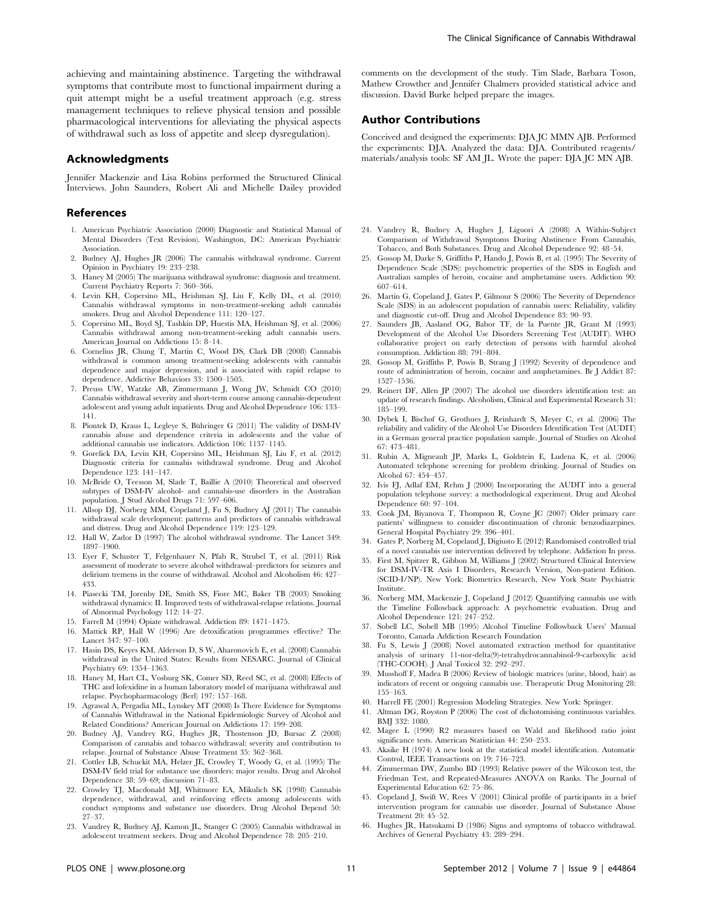achieving and maintaining abstinence. Targeting the withdrawal symptoms that contribute most to functional impairment during a quit attempt might be a useful treatment approach (e.g. stress management techniques to relieve physical tension and possible pharmacological interventions for alleviating the physical aspects of withdrawal such as loss of appetite and sleep dysregulation).

#### Acknowledgments

Jennifer Mackenzie and Lisa Robins performed the Structured Clinical Interviews. John Saunders, Robert Ali and Michelle Dailey provided

#### References

- 1. American Psychiatric Association (2000) Diagnostic and Statistical Manual of Mental Disorders (Text Revision). Washington, DC: American Psychiatric Association.
- 2. Budney AJ, Hughes JR (2006) The cannabis withdrawal syndrome. Current Opinion in Psychiatry 19: 233–238.
- 3. Haney M (2005) The marijuana withdrawal syndrome: diagnosis and treatment. Current Psychiatry Reports 7: 360–366.
- 4. Levin KH, Copersino ML, Heishman SJ, Liu F, Kelly DL, et al. (2010) Cannabis withdrawal symptoms in non-treatment-seeking adult cannabis smokers. Drug and Alcohol Dependence 111: 120–127.
- 5. Copersino ML, Boyd SJ, Tashkin DP, Huestis MA, Heishman SJ, et al. (2006) Cannabis withdrawal among non-treatment-seeking adult cannabis users. American Journal on Addictions 15: 8–14.
- 6. Cornelius JR, Chung T, Martin C, Wood DS, Clark DB (2008) Cannabis withdrawal is common among treatment-seeking adolescents with cannabis dependence and major depression, and is associated with rapid relapse to dependence. Addictive Behaviors 33: 1500–1505.
- 7. Preuss UW, Watzke AB, Zimmermann J, Wong JW, Schmidt CO (2010) Cannabis withdrawal severity and short-term course among cannabis-dependent adolescent and young adult inpatients. Drug and Alcohol Dependence 106: 133– 141.
- 8. Piontek D, Kraus L, Legleye S, Bühringer G (2011) The validity of DSM-IV cannabis abuse and dependence criteria in adolescents and the value of additional cannabis use indicators. Addiction 106: 1137–1145.
- 9. Gorelick DA, Levin KH, Copersino ML, Heishman SJ, Liu F, et al. (2012) Diagnostic criteria for cannabis withdrawal syndrome. Drug and Alcohol Dependence 123: 141–147.
- 10. McBride O, Teesson M, Slade T, Baillie A (2010) Theoretical and observed subtypes of DSM-IV alcohol- and cannabis-use disorders in the Australian population. J Stud Alcohol Drugs 71: 597–606.
- 11. Allsop DJ, Norberg MM, Copeland J, Fu S, Budney AJ (2011) The cannabis withdrawal scale development: patterns and predictors of cannabis withdrawal and distress. Drug and Alcohol Dependence 119: 123–129.
- 12. Hall W, Zador D (1997) The alcohol withdrawal syndrome. The Lancet 349: 1897–1900.
- 13. Eyer F, Schuster T, Felgenhauer N, Pfab R, Strubel T, et al. (2011) Risk assessment of moderate to severe alcohol withdrawal–predictors for seizures and delirium tremens in the course of withdrawal. Alcohol and Alcoholism 46: 427– 433.
- 14. Piasecki TM, Jorenby DE, Smith SS, Fiore MC, Baker TB (2003) Smoking withdrawal dynamics: II. Improved tests of withdrawal-relapse relations. Journal of Abnormal Psychology 112: 14–27.
- 15. Farrell M (1994) Opiate withdrawal. Addiction 89: 1471–1475.
- 16. Mattick RP, Hall W (1996) Are detoxification programmes effective? The Lancet 347: 97–100.
- 17. Hasin DS, Keyes KM, Alderson D, S W, Aharonovich E, et al. (2008) Cannabis withdrawal in the United States: Results from NESARC. Journal of Clinical Psychiatry 69: 1354–1363.
- 18. Haney M, Hart CL, Vosburg SK, Comer SD, Reed SC, et al. (2008) Effects of THC and lofexidine in a human laboratory model of marijuana withdrawal and relapse. Psychopharmacology (Berl) 197: 157–168.
- 19. Agrawal A, Pergadia ML, Lynskey MT (2008) Is There Evidence for Symptoms of Cannabis Withdrawal in the National Epidemiologic Survey of Alcohol and Related Conditions? American Journal on Addictions 17: 199–208.
- 20. Budney AJ, Vandrey RG, Hughes JR, Thostenson JD, Bursac Z (2008) Comparison of cannabis and tobacco withdrawal: severity and contribution to relapse. Journal of Substance Abuse Treatment 35: 362–368.
- 21. Cottler LB, Schuckit MA, Helzer JE, Crowley T, Woody G, et al. (1995) The DSM-IV field trial for substance use disorders: major results. Drug and Alcohol Dependence 38: 59–69; discussion 71–83.
- 22. Crowley TJ, Macdonald MJ, Whitmore EA, Mikulich SK (1998) Cannabis dependence, withdrawal, and reinforcing effects among adolescents with conduct symptoms and substance use disorders. Drug Alcohol Depend 50: 27–37.
- 23. Vandrey R, Budney AJ, Kamon JL, Stanger C (2005) Cannabis withdrawal in adolescent treatment seekers. Drug and Alcohol Dependence 78: 205–210.

comments on the development of the study. Tim Slade, Barbara Toson, Mathew Crowther and Jennifer Chalmers provided statistical advice and discussion. David Burke helped prepare the images.

#### Author Contributions

Conceived and designed the experiments: DJA JC MMN AJB. Performed the experiments: DJA. Analyzed the data: DJA. Contributed reagents/ materials/analysis tools: SF AM JL. Wrote the paper: DJA JC MN AJB.

- 24. Vandrey R, Budney A, Hughes J, Liguori A (2008) A Within-Subject Comparison of Withdrawal Symptoms During Abstinence From Cannabis, Tobacco, and Both Substances. Drug and Alcohol Dependence 92: 48–54.
- 25. Gossop M, Darke S, Griffiths P, Hando J, Powis B, et al. (1995) The Severity of Dependence Scale (SDS): psychometric properties of the SDS in English and Australian samples of heroin, cocaine and amphetamine users. Addiction 90: 607–614.
- 26. Martin G, Copeland J, Gates P, Gilmour S (2006) The Severity of Dependence Scale (SDS) in an adolescent population of cannabis users: Reliability, validity and diagnostic cut-off. Drug and Alcohol Dependence 83: 90–93.
- 27. Saunders JB, Aasland OG, Babor TF, de la Puente JR, Grant M (1993) Development of the Alcohol Use Disorders Screening Test (AUDIT). WHO collaborative project on early detection of persons with harmful alcohol consumption. Addiction 88: 791–804.
- 28. Gossop M, Griffiths P, Powis B, Strang J (1992) Severity of dependence and route of administration of heroin, cocaine and amphetamines. Br J Addict 87: 1527–1536.
- 29. Reinert DF, Allen JP (2007) The alcohol use disorders identification test: an update of research findings. Alcoholism, Clinical and Experimental Research 31: 185–199.
- 30. Dybek I, Bischof G, Grothues J, Reinhardt S, Meyer C, et al. (2006) The reliability and validity of the Alcohol Use Disorders Identification Test (AUDIT) in a German general practice population sample. Journal of Studies on Alcohol 67: 473–481.
- 31. Rubin A, Migneault JP, Marks L, Goldstein E, Ludena K, et al. (2006) Automated telephone screening for problem drinking. Journal of Studies on Alcohol 67: 454–457.
- 32. Ivis FJ, Adlaf EM, Rehm J (2000) Incorporating the AUDIT into a general population telephone survey: a methodological experiment. Drug and Alcohol Dependence 60: 97–104.
- 33. Cook JM, Biyanova T, Thompson R, Coyne JC (2007) Older primary care patients' willingness to consider discontinuation of chronic benzodiazepines. General Hospital Psychiatry 29: 396–401.
- 34. Gates P, Norberg M, Copeland J, Digiusto E (2012) Randomised controlled trial of a novel cannabis use intervention delivered by telephone. Addiction In press.
- 35. First M, Spitzer R, Gibbon M, Williams J (2002) Structured Clinical Interview for DSM-IV-TR Axis I Disorders, Research Version, Non-patient Edition. (SCID-I/NP). New York: Biometrics Research, New York State Psychiatric Institute.
- 36. Norberg MM, Mackenzie J, Copeland J (2012) Quantifying cannabis use with the Timeline Followback approach: A psychometric evaluation. Drug and Alcohol Dependence 121: 247–252.
- 37. Sobell LC, Sobell MB (1995) Alcohol Timeline Followback Users' Manual Toronto, Canada Addiction Research Foundation
- 38. Fu S, Lewis J (2008) Novel automated extraction method for quantitative analysis of urinary 11-nor-delta(9)-tetrahydrocannabinol-9-carboxylic acid (THC-COOH). J Anal Toxicol 32: 292–297.
- 39. Musshoff F, Madea B (2006) Review of biologic matrices (urine, blood, hair) as indicators of recent or ongoing cannabis use. Therapeutic Drug Monitoring 28: 155–163.
- 40. Harrell FE (2001) Regression Modeling Strategies. New York: Springer.
- 41. Altman DG, Royston P (2006) The cost of dichotomising continuous variables. BMJ 332: 1080.
- 42. Magee L (1990) R2 measures based on Wald and likelihood ratio joint significance tests. American Statistician 44: 250–253.
- 43. Akaike H (1974) A new look at the statistical model identification. Automatic Control, IEEE Transactions on 19: 716–723.
- 44. Zimmerman DW, Zumbo BD (1993) Relative power of the Wilcoxon test, the Friedman Test, and Repeated-Measures ANOVA on Ranks. The Journal of Experimental Education 62: 75–86.
- 45. Copeland J, Swift W, Rees V (2001) Clinical profile of participants in a brief intervention program for cannabis use disorder. Journal of Substance Abuse Treatment 20: 45–52.
- 46. Hughes JR, Hatsukami D (1986) Signs and symptoms of tobacco withdrawal. Archives of General Psychiatry 43: 289–294.